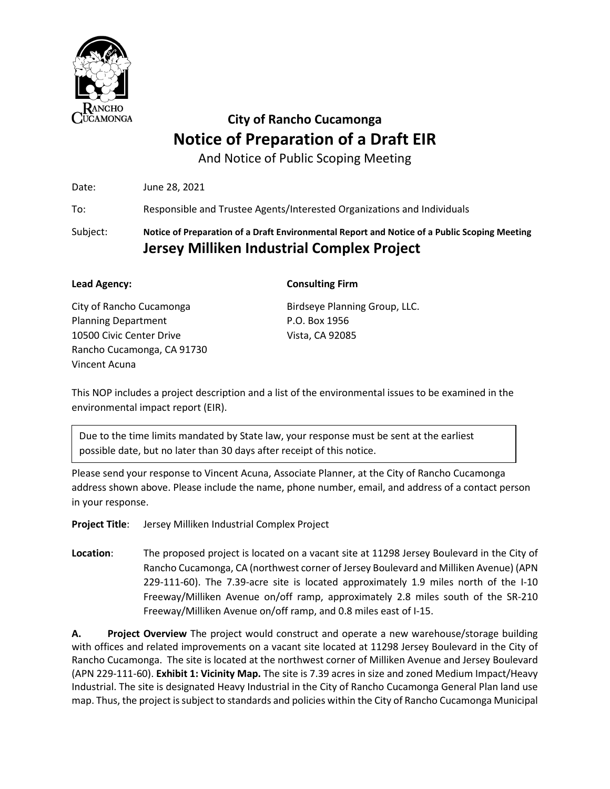

And Notice of Public Scoping Meeting

Date: June 28, 2021 To: Responsible and Trustee Agents/Interested Organizations and Individuals

Subject: **Notice of Preparation of a Draft Environmental Report and Notice of a Public Scoping Meeting Jersey Milliken Industrial Complex Project** 

| Lead Agency:               | <b>Consulting Firm</b>        |
|----------------------------|-------------------------------|
| City of Rancho Cucamonga   | Birdseye Planning Group, LLC. |
| <b>Planning Department</b> | P.O. Box 1956                 |
| 10500 Civic Center Drive   | Vista, CA 92085               |
| Rancho Cucamonga, CA 91730 |                               |
| Vincent Acuna              |                               |

This NOP includes a project description and a list of the environmental issues to be examined in the environmental impact report (EIR).

Due to the time limits mandated by State law, your response must be sent at the earliest possible date, but no later than 30 days after receipt of this notice.

Please send your response to Vincent Acuna, Associate Planner, at the City of Rancho Cucamonga address shown above. Please include the name, phone number, email, and address of a contact person in your response.

**Project Title**: Jersey Milliken Industrial Complex Project

**Location**: The proposed project is located on a vacant site at 11298 Jersey Boulevard in the City of Rancho Cucamonga, CA (northwest corner of Jersey Boulevard and Milliken Avenue) (APN 229-111-60). The 7.39-acre site is located approximately 1.9 miles north of the I-10 Freeway/Milliken Avenue on/off ramp, approximately 2.8 miles south of the SR-210 Freeway/Milliken Avenue on/off ramp, and 0.8 miles east of I-15.

**A. Project Overview** The project would construct and operate a new warehouse/storage building with offices and related improvements on a vacant site located at 11298 Jersey Boulevard in the City of Rancho Cucamonga. The site is located at the northwest corner of Milliken Avenue and Jersey Boulevard (APN 229-111-60). **Exhibit 1: Vicinity Map.** The site is 7.39 acres in size and zoned Medium Impact/Heavy Industrial. The site is designated Heavy Industrial in the City of Rancho Cucamonga General Plan land use map. Thus, the project is subject to standards and policies within the City of Rancho Cucamonga Municipal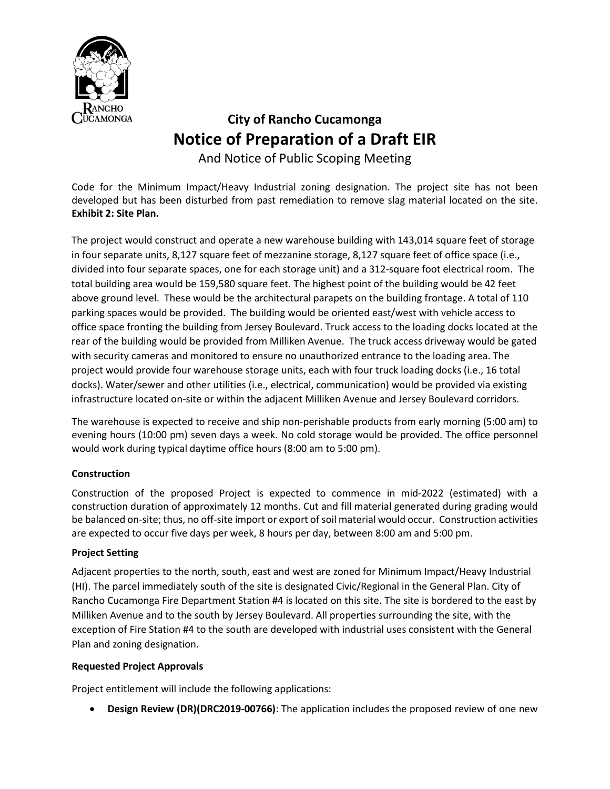

And Notice of Public Scoping Meeting

Code for the Minimum Impact/Heavy Industrial zoning designation. The project site has not been developed but has been disturbed from past remediation to remove slag material located on the site. **Exhibit 2: Site Plan.**

The project would construct and operate a new warehouse building with 143,014 square feet of storage in four separate units, 8,127 square feet of mezzanine storage, 8,127 square feet of office space (i.e., divided into four separate spaces, one for each storage unit) and a 312-square foot electrical room. The total building area would be 159,580 square feet. The highest point of the building would be 42 feet above ground level. These would be the architectural parapets on the building frontage. A total of 110 parking spaces would be provided. The building would be oriented east/west with vehicle access to office space fronting the building from Jersey Boulevard. Truck access to the loading docks located at the rear of the building would be provided from Milliken Avenue. The truck access driveway would be gated with security cameras and monitored to ensure no unauthorized entrance to the loading area. The project would provide four warehouse storage units, each with four truck loading docks (i.e., 16 total docks). Water/sewer and other utilities (i.e., electrical, communication) would be provided via existing infrastructure located on-site or within the adjacent Milliken Avenue and Jersey Boulevard corridors.

The warehouse is expected to receive and ship non-perishable products from early morning (5:00 am) to evening hours (10:00 pm) seven days a week. No cold storage would be provided. The office personnel would work during typical daytime office hours (8:00 am to 5:00 pm).

### **Construction**

Construction of the proposed Project is expected to commence in mid-2022 (estimated) with a construction duration of approximately 12 months. Cut and fill material generated during grading would be balanced on-site; thus, no off-site import or export of soil material would occur. Construction activities are expected to occur five days per week, 8 hours per day, between 8:00 am and 5:00 pm.

### **Project Setting**

Adjacent properties to the north, south, east and west are zoned for Minimum Impact/Heavy Industrial (HI). The parcel immediately south of the site is designated Civic/Regional in the General Plan. City of Rancho Cucamonga Fire Department Station #4 is located on this site. The site is bordered to the east by Milliken Avenue and to the south by Jersey Boulevard. All properties surrounding the site, with the exception of Fire Station #4 to the south are developed with industrial uses consistent with the General Plan and zoning designation.

### **Requested Project Approvals**

Project entitlement will include the following applications:

• **Design Review (DR)(DRC2019-00766)**: The application includes the proposed review of one new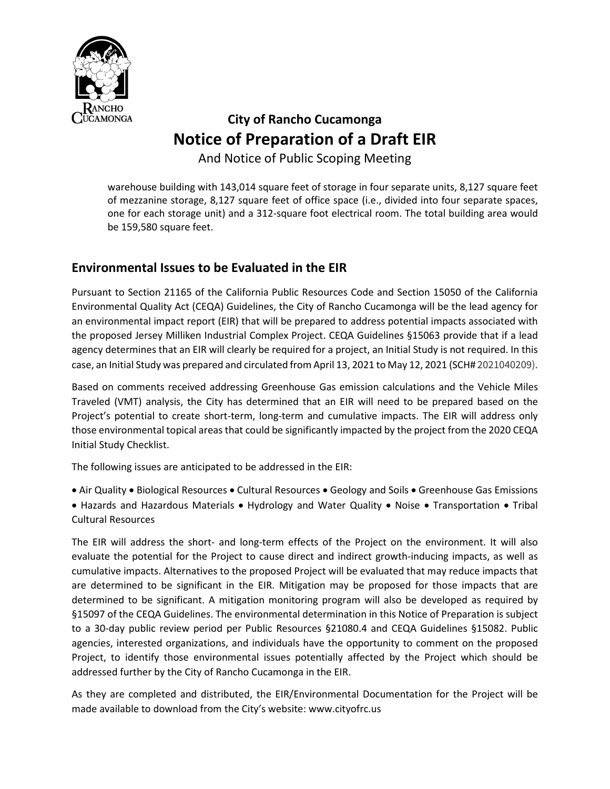

And Notice of Public Scoping Meeting

warehouse building with 143,014 square feet of storage in four separate units, 8,127 square feet of mezzanine storage, 8,127 square feet of office space (i.e., divided into four separate spaces, one for each storage unit) and a 312-square foot electrical room. The total building area would be 159,580 square feet.

### **Environmental Issues to be Evaluated in the EIR**

Pursuant to Section 21165 of the California Public Resources Code and Section 15050 of the California Environmental Quality Act (CEQA) Guidelines, the City of Rancho Cucamonga will be the lead agency for an environmental impact report (EIR) that will be prepared to address potential impacts associated with the proposed Jersey Milliken Industrial Complex Project. CEQA Guidelines §15063 provide that if a lead agency determines that an EIR will clearly be required for a project, an Initial Study is not required. In this case, an Initial Study was prepared and circulated from April 13, 2021 to May 12, 2021 (SCH# 2021040209).

Based on comments received addressing Greenhouse Gas emission calculations and the Vehicle Miles Traveled (VMT) analysis, the City has determined that an EIR will need to be prepared based on the Project's potential to create short-term, long-term and cumulative impacts. The EIR will address only those environmental topical areas that could be significantly impacted by the project from the 2020 CEQA Initial Study Checklist.

The following issues are anticipated to be addressed in the EIR:

• Air Quality • Biological Resources • Cultural Resources • Geology and Soils • Greenhouse Gas Emissions • Hazards and Hazardous Materials • Hydrology and Water Quality • Noise • Transportation • Tribal Cultural Resources

The EIR will address the short- and long-term effects of the Project on the environment. It will also evaluate the potential for the Project to cause direct and indirect growth-inducing impacts, as well as cumulative impacts. Alternatives to the proposed Project will be evaluated that may reduce impacts that are determined to be significant in the EIR. Mitigation may be proposed for those impacts that are determined to be significant. A mitigation monitoring program will also be developed as required by §15097 of the CEQA Guidelines. The environmental determination in this Notice of Preparation is subject to a 30-day public review period per Public Resources §21080.4 and CEQA Guidelines §15082. Public agencies, interested organizations, and individuals have the opportunity to comment on the proposed Project, to identify those environmental issues potentially affected by the Project which should be addressed further by the City of Rancho Cucamonga in the EIR.

As they are completed and distributed, the EIR/Environmental Documentation for the Project will be made available to download from the City's website: www.cityofrc.us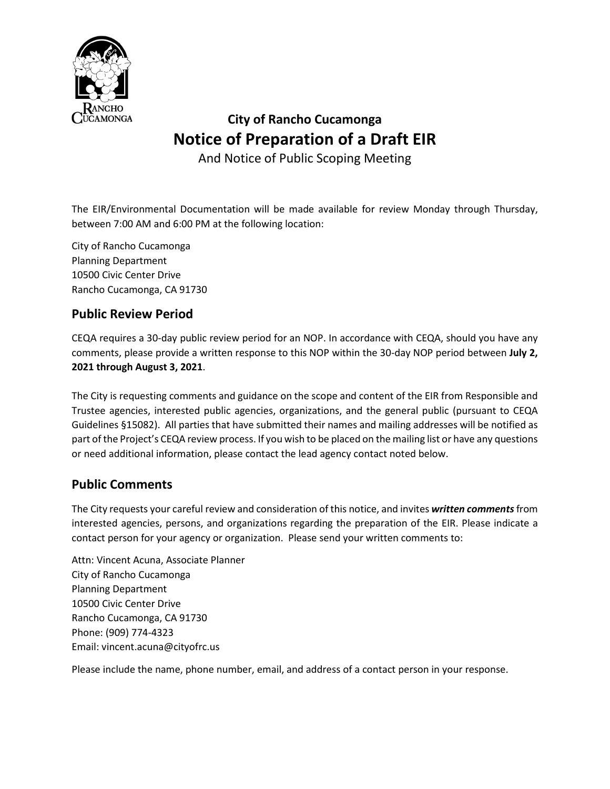

And Notice of Public Scoping Meeting

The EIR/Environmental Documentation will be made available for review Monday through Thursday, between 7:00 AM and 6:00 PM at the following location:

City of Rancho Cucamonga Planning Department 10500 Civic Center Drive Rancho Cucamonga, CA 91730

### **Public Review Period**

CEQA requires a 30-day public review period for an NOP. In accordance with CEQA, should you have any comments, please provide a written response to this NOP within the 30-day NOP period between **July 2, 2021 through August 3, 2021**.

The City is requesting comments and guidance on the scope and content of the EIR from Responsible and Trustee agencies, interested public agencies, organizations, and the general public (pursuant to CEQA Guidelines §15082). All parties that have submitted their names and mailing addresses will be notified as part of the Project's CEQA review process. If you wish to be placed on the mailing list or have any questions or need additional information, please contact the lead agency contact noted below.

### **Public Comments**

The City requests your careful review and consideration of this notice, and invites *written comments*from interested agencies, persons, and organizations regarding the preparation of the EIR. Please indicate a contact person for your agency or organization. Please send your written comments to:

Attn: Vincent Acuna, Associate Planner City of Rancho Cucamonga Planning Department 10500 Civic Center Drive Rancho Cucamonga, CA 91730 Phone: (909) 774-4323 Email: vincent.acuna@cityofrc.us

Please include the name, phone number, email, and address of a contact person in your response.